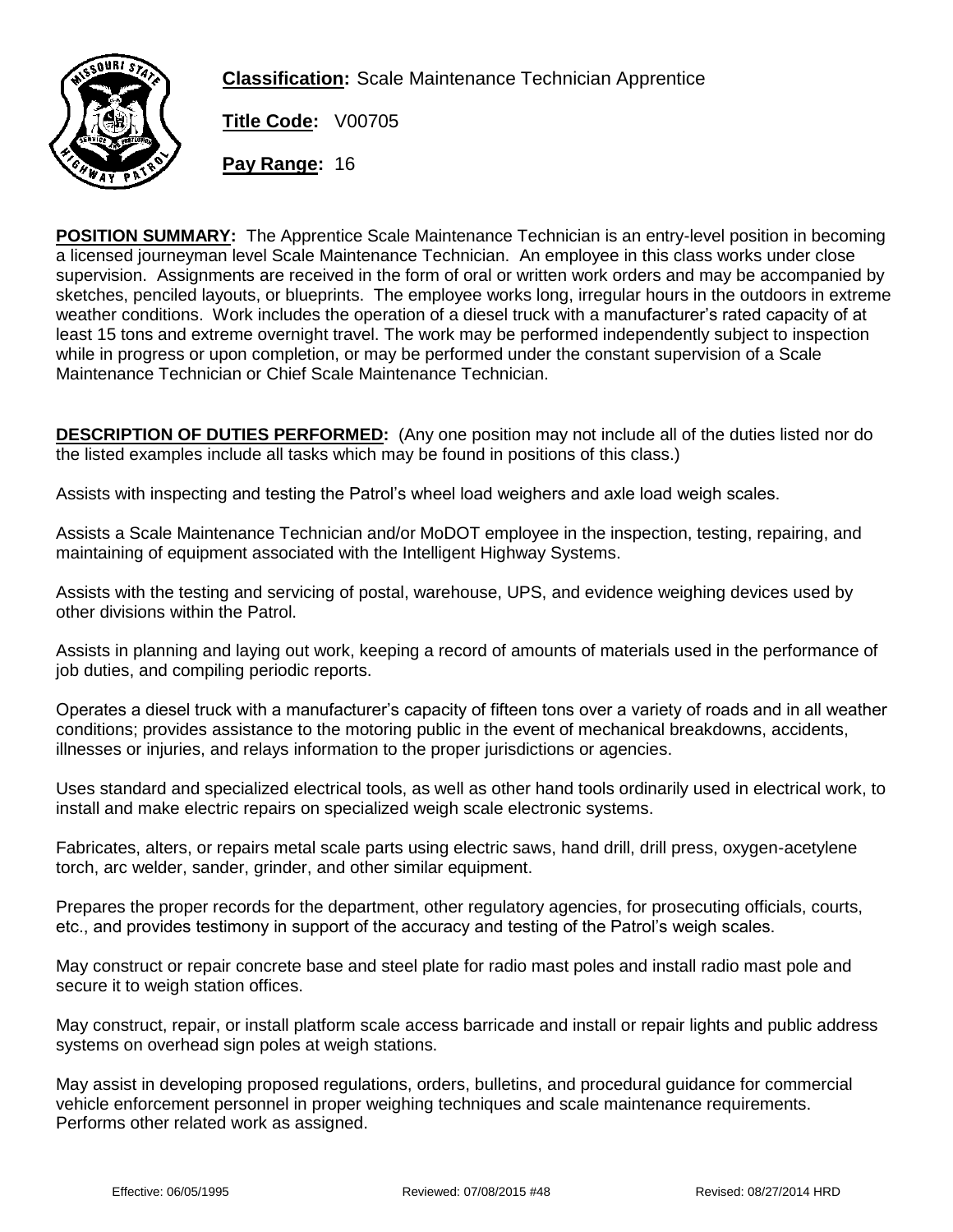

**Classification:** Scale Maintenance Technician Apprentice

**Title Code:** V00705

**Pay Range:** 16

**POSITION SUMMARY:** The Apprentice Scale Maintenance Technician is an entry-level position in becoming a licensed journeyman level Scale Maintenance Technician. An employee in this class works under close supervision. Assignments are received in the form of oral or written work orders and may be accompanied by sketches, penciled layouts, or blueprints. The employee works long, irregular hours in the outdoors in extreme weather conditions. Work includes the operation of a diesel truck with a manufacturer's rated capacity of at least 15 tons and extreme overnight travel. The work may be performed independently subject to inspection while in progress or upon completion, or may be performed under the constant supervision of a Scale Maintenance Technician or Chief Scale Maintenance Technician.

**DESCRIPTION OF DUTIES PERFORMED:** (Any one position may not include all of the duties listed nor do the listed examples include all tasks which may be found in positions of this class.)

Assists with inspecting and testing the Patrol's wheel load weighers and axle load weigh scales.

Assists a Scale Maintenance Technician and/or MoDOT employee in the inspection, testing, repairing, and maintaining of equipment associated with the Intelligent Highway Systems.

Assists with the testing and servicing of postal, warehouse, UPS, and evidence weighing devices used by other divisions within the Patrol.

Assists in planning and laying out work, keeping a record of amounts of materials used in the performance of job duties, and compiling periodic reports.

Operates a diesel truck with a manufacturer's capacity of fifteen tons over a variety of roads and in all weather conditions; provides assistance to the motoring public in the event of mechanical breakdowns, accidents, illnesses or injuries, and relays information to the proper jurisdictions or agencies.

Uses standard and specialized electrical tools, as well as other hand tools ordinarily used in electrical work, to install and make electric repairs on specialized weigh scale electronic systems.

Fabricates, alters, or repairs metal scale parts using electric saws, hand drill, drill press, oxygen-acetylene torch, arc welder, sander, grinder, and other similar equipment.

Prepares the proper records for the department, other regulatory agencies, for prosecuting officials, courts, etc., and provides testimony in support of the accuracy and testing of the Patrol's weigh scales.

May construct or repair concrete base and steel plate for radio mast poles and install radio mast pole and secure it to weigh station offices.

May construct, repair, or install platform scale access barricade and install or repair lights and public address systems on overhead sign poles at weigh stations.

May assist in developing proposed regulations, orders, bulletins, and procedural guidance for commercial vehicle enforcement personnel in proper weighing techniques and scale maintenance requirements. Performs other related work as assigned.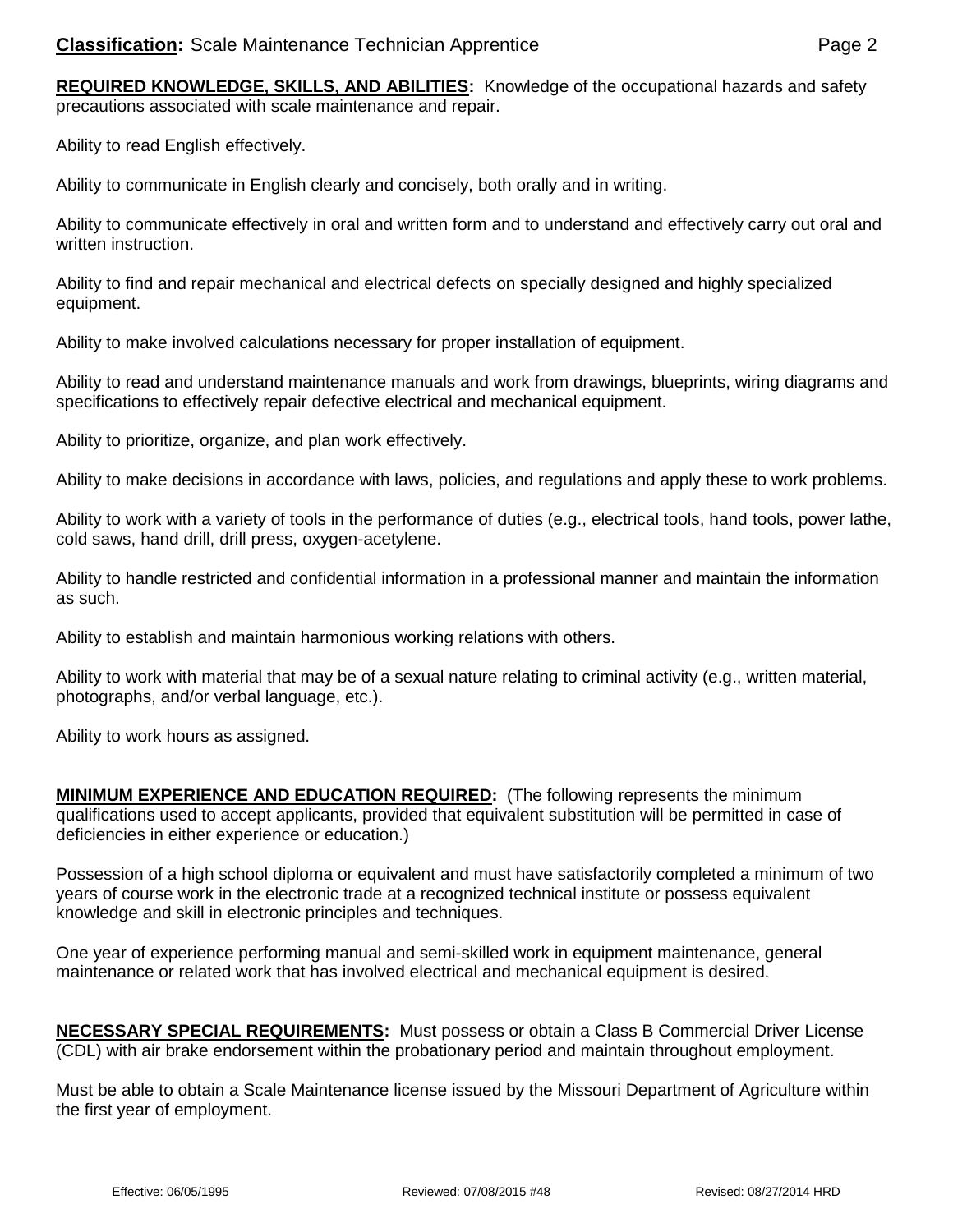**REQUIRED KNOWLEDGE, SKILLS, AND ABILITIES:** Knowledge of the occupational hazards and safety precautions associated with scale maintenance and repair.

Ability to read English effectively.

Ability to communicate in English clearly and concisely, both orally and in writing.

Ability to communicate effectively in oral and written form and to understand and effectively carry out oral and written instruction.

Ability to find and repair mechanical and electrical defects on specially designed and highly specialized equipment.

Ability to make involved calculations necessary for proper installation of equipment.

Ability to read and understand maintenance manuals and work from drawings, blueprints, wiring diagrams and specifications to effectively repair defective electrical and mechanical equipment.

Ability to prioritize, organize, and plan work effectively.

Ability to make decisions in accordance with laws, policies, and regulations and apply these to work problems.

Ability to work with a variety of tools in the performance of duties (e.g., electrical tools, hand tools, power lathe, cold saws, hand drill, drill press, oxygen-acetylene.

Ability to handle restricted and confidential information in a professional manner and maintain the information as such.

Ability to establish and maintain harmonious working relations with others.

Ability to work with material that may be of a sexual nature relating to criminal activity (e.g., written material, photographs, and/or verbal language, etc.).

Ability to work hours as assigned.

**MINIMUM EXPERIENCE AND EDUCATION REQUIRED:** (The following represents the minimum qualifications used to accept applicants, provided that equivalent substitution will be permitted in case of deficiencies in either experience or education.)

Possession of a high school diploma or equivalent and must have satisfactorily completed a minimum of two years of course work in the electronic trade at a recognized technical institute or possess equivalent knowledge and skill in electronic principles and techniques.

One year of experience performing manual and semi-skilled work in equipment maintenance, general maintenance or related work that has involved electrical and mechanical equipment is desired.

**NECESSARY SPECIAL REQUIREMENTS:** Must possess or obtain a Class B Commercial Driver License (CDL) with air brake endorsement within the probationary period and maintain throughout employment.

Must be able to obtain a Scale Maintenance license issued by the Missouri Department of Agriculture within the first year of employment.